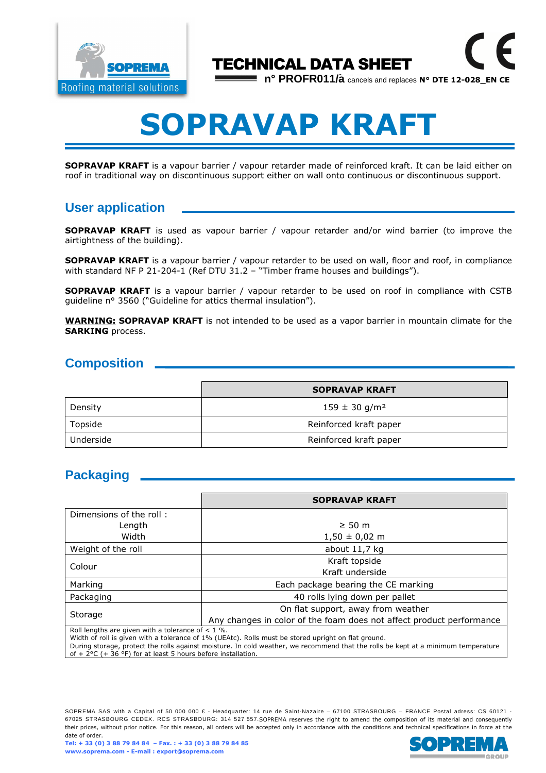

## TECHNICAL DATA SHEET

**n° PROFR011/a** cancels and replaces **N° DTE 12-028\_EN CE**

# **SOPRAVAP KRAFT**

**SOPRAVAP KRAFT** is a vapour barrier / vapour retarder made of reinforced kraft. It can be laid either on roof in traditional way on discontinuous support either on wall onto continuous or discontinuous support.

## **User application**

**SOPRAVAP KRAFT** is used as vapour barrier / vapour retarder and/or wind barrier (to improve the airtightness of the building).

**SOPRAVAP KRAFT** is a vapour barrier / vapour retarder to be used on wall, floor and roof, in compliance with standard NF P 21-204-1 (Ref DTU 31.2 – "Timber frame houses and buildings").

**SOPRAVAP KRAFT** is a vapour barrier / vapour retarder to be used on roof in compliance with CSTB guideline n° 3560 ("Guideline for attics thermal insulation").

**WARNING: SOPRAVAP KRAFT** is not intended to be used as a vapor barrier in mountain climate for the **SARKING** process.

#### **Composition**

|           | <b>SOPRAVAP KRAFT</b>         |  |
|-----------|-------------------------------|--|
| Density   | $159 \pm 30$ g/m <sup>2</sup> |  |
| Topside   | Reinforced kraft paper        |  |
| Underside | Reinforced kraft paper        |  |

#### **Packaging**

|                         | <b>SOPRAVAP KRAFT</b>                                                                                                                           |  |  |
|-------------------------|-------------------------------------------------------------------------------------------------------------------------------------------------|--|--|
| Dimensions of the roll: |                                                                                                                                                 |  |  |
| Length                  | $\geq 50$ m                                                                                                                                     |  |  |
| Width                   | $1,50 \pm 0,02 \text{ m}$                                                                                                                       |  |  |
| Weight of the roll      | about $11,7$ kg                                                                                                                                 |  |  |
| Colour                  | Kraft topside                                                                                                                                   |  |  |
|                         | Kraft underside                                                                                                                                 |  |  |
| Marking                 | Each package bearing the CE marking                                                                                                             |  |  |
| Packaging               | 40 rolls lying down per pallet                                                                                                                  |  |  |
| Storage                 | On flat support, away from weather                                                                                                              |  |  |
|                         | Any changes in color of the foam does not affect product performance<br><b>D</b> all low only a second to consider a notice of a set of the Of- |  |  |

Roll lengths are given with a tolerance of  $< 1$  %.

Width of roll is given with a tolerance of 1% (UEAtc). Rolls must be stored upright on flat ground.

During storage, protect the rolls against moisture. In cold weather, we recommend that the rolls be kept at a minimum temperature of + 2°C (+ 36 °F) for at least 5 hours before installation.

SOPREMA SAS with a Capital of 50 000 000 € - Headquarter: 14 rue de Saint-Nazaire – 67100 STRASBOURG – FRANCE Postal adress: CS 60121 -67025 STRASBOURG CEDEX. RCS STRASBOURG: 314 527 557.SOPREMA reserves the right to amend the composition of its material and consequently their prices, without prior notice. For this reason, all orders will be accepted only in accordance with the conditions and technical specifications in force at the date of order.